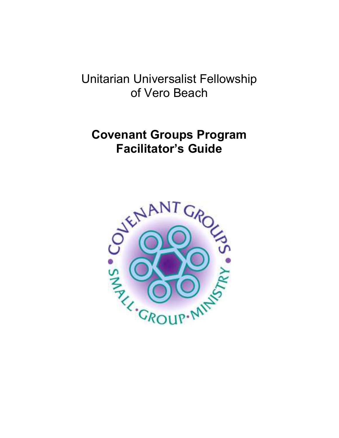# Unitarian Universalist Fellowship of Vero Beach

# Covenant Groups Program Facilitator's Guide

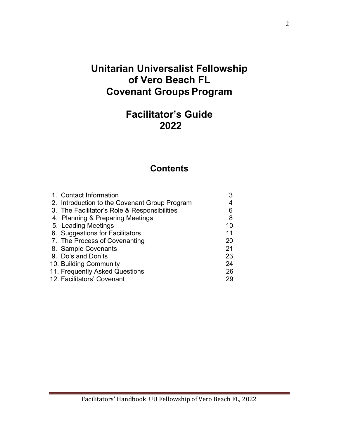# Unitarian Universalist Fellowship of Vero Beach FL Covenant Groups Program

# Facilitator's Guide 2022

### **Contents**

| 1. Contact Information                        |    |
|-----------------------------------------------|----|
| 2. Introduction to the Covenant Group Program |    |
| 3. The Facilitator's Role & Responsibilities  | 6  |
| 4. Planning & Preparing Meetings              | 8  |
| 5. Leading Meetings                           | 10 |
| 6. Suggestions for Facilitators               | 11 |
| 7. The Process of Covenanting                 | 20 |
| 8. Sample Covenants                           | 21 |
| 9. Do's and Don'ts                            | 23 |
| 10. Building Community                        | 24 |
| 11. Frequently Asked Questions                | 26 |
| 12. Facilitators' Covenant                    | 29 |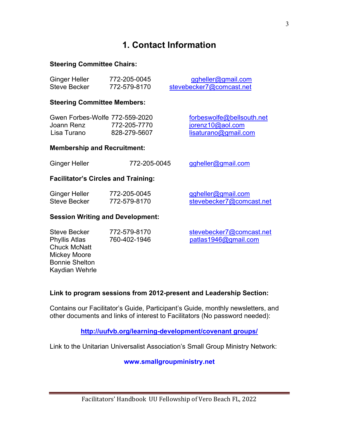# 1. Contact Information

### Steering Committee Chairs:

| <b>Ginger Heller</b> | 772-205-0045 | ggheller@gmail.com       |
|----------------------|--------------|--------------------------|
| Steve Becker         | 772-579-8170 | stevebecker7@comcast.net |

### Steering Committee Members:

| Gwen Forbes-Wolfe 772-559-2020 |              |
|--------------------------------|--------------|
| Joann Renz                     | 772-205-7770 |
| Lisa Turano                    | 828-279-5607 |

forbeswolfe@bellsouth.net  $jorenz10@aol.com$ lisaturano@gmail.com

### Membership and Recruitment:

| <b>Ginger Heller</b> | 772-205-0045 | ggheller@gmail.com |
|----------------------|--------------|--------------------|
|----------------------|--------------|--------------------|

### Facilitator's Circles and Training:

| Ginger Heller | 772-205-0045 | ggheller@gmail.com       |
|---------------|--------------|--------------------------|
| Steve Becker  | 772-579-8170 | stevebecker7@comcast.net |

### Session Writing and Development:

| <b>Steve Becker</b>   | 772-579-8170 | stevebecker7@comcast.net |
|-----------------------|--------------|--------------------------|
| <b>Phyllis Atlas</b>  | 760-402-1946 | patlas1946@gmail.com     |
| <b>Chuck McNatt</b>   |              |                          |
| <b>Mickey Moore</b>   |              |                          |
| <b>Bonnie Shelton</b> |              |                          |
| Kaydian Wehrle        |              |                          |

### Link to program sessions from 2012-present and Leadership Section:

Contains our Facilitator's Guide, Participant's Guide, monthly newsletters, and other documents and links of interest to Facilitators (No password needed):

http://uufvb.org/learning-development/covenant groups/

Link to the Unitarian Universalist Association's Small Group Ministry Network:

www.smallgroupministry.net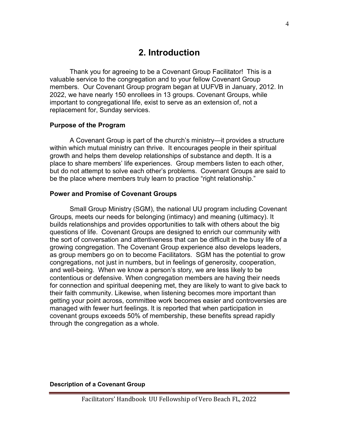### 2. Introduction

Thank you for agreeing to be a Covenant Group Facilitator! This is a valuable service to the congregation and to your fellow Covenant Group members. Our Covenant Group program began at UUFVB in January, 2012. In 2022, we have nearly 150 enrollees in 13 groups. Covenant Groups, while important to congregational life, exist to serve as an extension of, not a replacement for, Sunday services.

### Purpose of the Program

A Covenant Group is part of the church's ministry—it provides a structure within which mutual ministry can thrive. It encourages people in their spiritual growth and helps them develop relationships of substance and depth. It is a place to share members' life experiences. Group members listen to each other, but do not attempt to solve each other's problems. Covenant Groups are said to be the place where members truly learn to practice "right relationship."

### Power and Promise of Covenant Groups

Small Group Ministry (SGM), the national UU program including Covenant Groups, meets our needs for belonging (intimacy) and meaning (ultimacy). It builds relationships and provides opportunities to talk with others about the big questions of life. Covenant Groups are designed to enrich our community with the sort of conversation and attentiveness that can be difficult in the busy life of a growing congregation. The Covenant Group experience also develops leaders, as group members go on to become Facilitators. SGM has the potential to grow congregations, not just in numbers, but in feelings of generosity, cooperation, and well-being. When we know a person's story, we are less likely to be contentious or defensive. When congregation members are having their needs for connection and spiritual deepening met, they are likely to want to give back to their faith community. Likewise, when listening becomes more important than getting your point across, committee work becomes easier and controversies are managed with fewer hurt feelings. It is reported that when participation in covenant groups exceeds 50% of membership, these benefits spread rapidly through the congregation as a whole.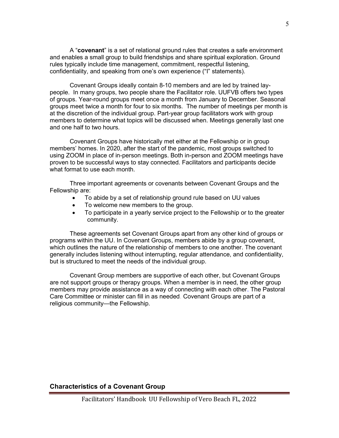A "covenant" is a set of relational ground rules that creates a safe environment and enables a small group to build friendships and share spiritual exploration. Ground rules typically include time management, commitment, respectful listening, confidentiality, and speaking from one's own experience ("I" statements).

Covenant Groups ideally contain 8-10 members and are led by trained laypeople. In many groups, two people share the Facilitator role. UUFVB offers two types of groups. Year-round groups meet once a month from January to December. Seasonal groups meet twice a month for four to six months. The number of meetings per month is at the discretion of the individual group. Part-year group facilitators work with group members to determine what topics will be discussed when. Meetings generally last one and one half to two hours.

Covenant Groups have historically met either at the Fellowship or in group members' homes. In 2020, after the start of the pandemic, most groups switched to using ZOOM in place of in-person meetings. Both in-person and ZOOM meetings have proven to be successful ways to stay connected. Facilitators and participants decide what format to use each month.

Three important agreements or covenants between Covenant Groups and the Fellowship are:

- To abide by a set of relationship ground rule based on UU values
- To welcome new members to the group.
- To participate in a yearly service project to the Fellowship or to the greater community.

These agreements set Covenant Groups apart from any other kind of groups or programs within the UU. In Covenant Groups, members abide by a group covenant, which outlines the nature of the relationship of members to one another. The covenant generally includes listening without interrupting, regular attendance, and confidentiality, but is structured to meet the needs of the individual group.

Covenant Group members are supportive of each other, but Covenant Groups are not support groups or therapy groups. When a member is in need, the other group members may provide assistance as a way of connecting with each other. The Pastoral Care Committee or minister can fill in as needed. Covenant Groups are part of a religious community—the Fellowship.

### Characteristics of a Covenant Group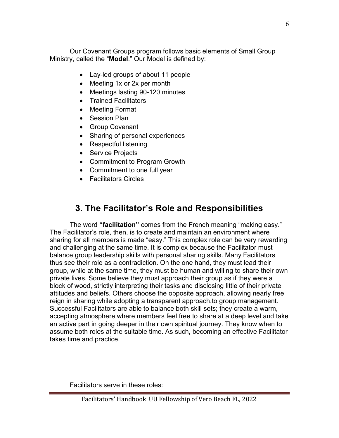Our Covenant Groups program follows basic elements of Small Group Ministry, called the "Model." Our Model is defined by:

- Lay-led groups of about 11 people
- Meeting 1x or 2x per month
- Meetings lasting 90-120 minutes
- Trained Facilitators
- Meeting Format
- Session Plan
- Group Covenant
- Sharing of personal experiences
- Respectful listening
- Service Projects
- Commitment to Program Growth
- Commitment to one full year
- Facilitators Circles

# 3. The Facilitator's Role and Responsibilities

The word "facilitation" comes from the French meaning "making easy." The Facilitator's role, then, is to create and maintain an environment where sharing for all members is made "easy." This complex role can be very rewarding and challenging at the same time. It is complex because the Facilitator must balance group leadership skills with personal sharing skills. Many Facilitators thus see their role as a contradiction. On the one hand, they must lead their group, while at the same time, they must be human and willing to share their own private lives. Some believe they must approach their group as if they were a block of wood, strictly interpreting their tasks and disclosing little of their private attitudes and beliefs. Others choose the opposite approach, allowing nearly free reign in sharing while adopting a transparent approach.to group management. Successful Facilitators are able to balance both skill sets; they create a warm, accepting atmosphere where members feel free to share at a deep level and take an active part in going deeper in their own spiritual journey. They know when to assume both roles at the suitable time. As such, becoming an effective Facilitator takes time and practice.

Facilitators serve in these roles: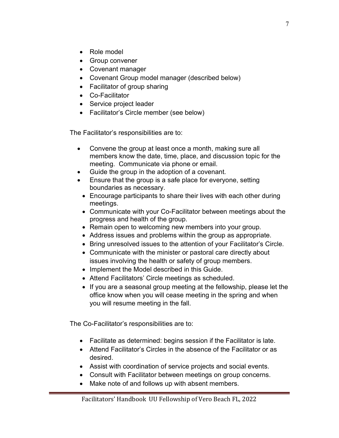- Role model
- Group convener
- Covenant manager
- Covenant Group model manager (described below)
- Facilitator of group sharing
- Co-Facilitator
- Service project leader
- Facilitator's Circle member (see below)

The Facilitator's responsibilities are to:

- Convene the group at least once a month, making sure all members know the date, time, place, and discussion topic for the meeting. Communicate via phone or email.
- Guide the group in the adoption of a covenant.
- Ensure that the group is a safe place for everyone, setting boundaries as necessary.
	- Encourage participants to share their lives with each other during meetings.
	- Communicate with your Co-Facilitator between meetings about the progress and health of the group.
	- Remain open to welcoming new members into your group.
	- Address issues and problems within the group as appropriate.
	- Bring unresolved issues to the attention of your Facilitator's Circle.
	- Communicate with the minister or pastoral care directly about issues involving the health or safety of group members.
	- Implement the Model described in this Guide.
	- Attend Facilitators' Circle meetings as scheduled.
	- If you are a seasonal group meeting at the fellowship, please let the office know when you will cease meeting in the spring and when you will resume meeting in the fall.

The Co-Facilitator's responsibilities are to:

- Facilitate as determined: begins session if the Facilitator is late.
- Attend Facilitator's Circles in the absence of the Facilitator or as desired.
- Assist with coordination of service projects and social events.
- Consult with Facilitator between meetings on group concerns.
- Make note of and follows up with absent members.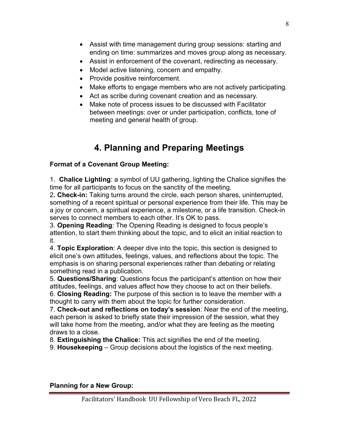- Assist with time management during group sessions: starting and ending on time: summarizes and moves group along as necessary.
- Assist in enforcement of the covenant, redirecting as necessary.
- Model active listening, concern and empathy.
- Provide positive reinforcement.
- Make efforts to engage members who are not actively participating.
- Act as scribe during covenant creation and as necessary.
- Make note of process issues to be discussed with Facilitator between meetings: over or under participation, conflicts, tone of meeting and general health of group.

# 4. Planning and Preparing Meetings

### Format of a Covenant Group Meeting:

1. Chalice Lighting: a symbol of UU gathering, lighting the Chalice signifies the time for all participants to focus on the sanctity of the meeting.

2. Check-in: Taking turns around the circle, each person shares, uninterrupted, something of a recent spiritual or personal experience from their life. This may be a joy or concern, a spiritual experience, a milestone, or a life transition. Check-in serves to connect members to each other. It's OK to pass.

3. Opening Reading: The Opening Reading is designed to focus people's attention, to start them thinking about the topic, and to elicit an initial reaction to it.

4. **Topic Exploration**: A deeper dive into the topic, this section is designed to elicit one's own attitudes, feelings, values, and reflections about the topic. The emphasis is on sharing personal experiences rather than debating or relating something read in a publication.

5. Questions/Sharing: Questions focus the participant's attention on how their attitudes, feelings, and values affect how they choose to act on their beliefs. 6. Closing Reading: The purpose of this section is to leave the member with a

thought to carry with them about the topic for further consideration.

7. Check-out and reflections on today's session: Near the end of the meeting, each person is asked to briefly state their impression of the session, what they will take home from the meeting, and/or what they are feeling as the meeting draws to a close.

8. Extinguishing the Chalice: This act signifies the end of the meeting.

9. Housekeeping – Group decisions about the logistics of the next meeting.

### Planning for a New Group: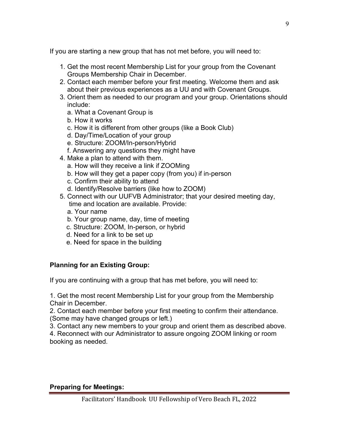If you are starting a new group that has not met before, you will need to:

- 1. Get the most recent Membership List for your group from the Covenant Groups Membership Chair in December.
- 2. Contact each member before your first meeting. Welcome them and ask about their previous experiences as a UU and with Covenant Groups.
- 3. Orient them as needed to our program and your group. Orientations should include:
	- a. What a Covenant Group is
	- b. How it works
	- c. How it is different from other groups (like a Book Club)
	- d. Day/Time/Location of your group
	- e. Structure: ZOOM/In-person/Hybrid
	- f. Answering any questions they might have
- 4. Make a plan to attend with them.
	- a. How will they receive a link if ZOOMing
	- b. How will they get a paper copy (from you) if in-person
	- c. Confirm their ability to attend
	- d. Identify/Resolve barriers (like how to ZOOM)
- 5. Connect with our UUFVB Administrator; that your desired meeting day, time and location are available. Provide:
	- a. Your name
	- b. Your group name, day, time of meeting
	- c. Structure: ZOOM, In-person, or hybrid
	- d. Need for a link to be set up
	- e. Need for space in the building

### Planning for an Existing Group:

If you are continuing with a group that has met before, you will need to:

1. Get the most recent Membership List for your group from the Membership Chair in December.

2. Contact each member before your first meeting to confirm their attendance. (Some may have changed groups or left.)

3. Contact any new members to your group and orient them as described above.

4. Reconnect with our Administrator to assure ongoing ZOOM linking or room booking as needed.

### Preparing for Meetings: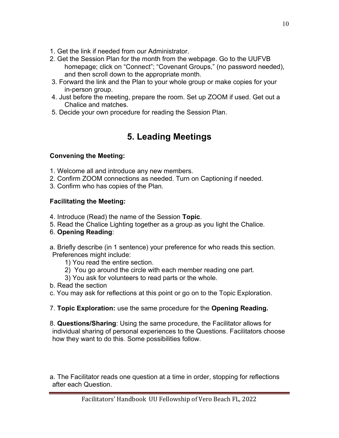- 1. Get the link if needed from our Administrator.
- 2. Get the Session Plan for the month from the webpage. Go to the UUFVB homepage; click on "Connect"; "Covenant Groups," (no password needed), and then scroll down to the appropriate month.
- 3. Forward the link and the Plan to your whole group or make copies for your in-person group.
- 4. Just before the meeting, prepare the room. Set up ZOOM if used. Get out a Chalice and matches.
- 5. Decide your own procedure for reading the Session Plan.

# 5. Leading Meetings

### Convening the Meeting:

- 1. Welcome all and introduce any new members.
- 2. Confirm ZOOM connections as needed. Turn on Captioning if needed.
- 3. Confirm who has copies of the Plan.

### Facilitating the Meeting:

- 4. Introduce (Read) the name of the Session Topic.
- 5. Read the Chalice Lighting together as a group as you light the Chalice.
- 6. Opening Reading:

a. Briefly describe (in 1 sentence) your preference for who reads this section. Preferences might include:

- 1) You read the entire section.
- 2) You go around the circle with each member reading one part.
- 3) You ask for volunteers to read parts or the whole.
- b. Read the section
- c. You may ask for reflections at this point or go on to the Topic Exploration.
- 7. Topic Exploration: use the same procedure for the Opening Reading.

8. Questions/Sharing: Using the same procedure, the Facilitator allows for individual sharing of personal experiences to the Questions. Facilitators choose how they want to do this. Some possibilities follow.

a. The Facilitator reads one question at a time in order, stopping for reflections after each Question.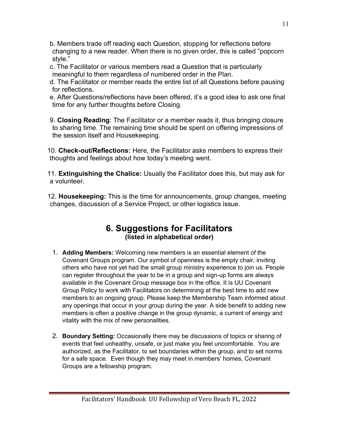- b. Members trade off reading each Question, stopping for reflections before changing to a new reader. When there is no given order, this is called "popcorn style."
- c. The Facilitator or various members read a Question that is particularly meaningful to them regardless of numbered order in the Plan.
- d. The Facilitator or member reads the entire list of all Questions before pausing for reflections.
- e. After Questions/reflections have been offered, it's a good idea to ask one final time for any further thoughts before Closing.
- 9. Closing Reading: The Facilitator or a member reads it, thus bringing closure to sharing time. The remaining time should be spent on offering impressions of the session itself and Housekeeping.
- 10. Check-out/Reflections: Here, the Facilitator asks members to express their thoughts and feelings about how today's meeting went.
- 11. Extinguishing the Chalice: Usually the Facilitator does this, but may ask for a volunteer.
- 12. Housekeeping: This is the time for announcements, group changes, meeting changes, discussion of a Service Project, or other logistics issue.

### 6. Suggestions for Facilitators (listed in alphabetical order)

- 1. Adding Members: Welcoming new members is an essential element of the Covenant Groups program. Our symbol of openness is the empty chair, inviting others who have not yet had the small group ministry experience to join us. People can register throughout the year to be in a group and sign-up forms are always available in the Covenant Group message box in the office. It is UU Covenant Group Policy to work with Facilitators on determining at the best time to add new members to an ongoing group. Please keep the Membership Team informed about any openings that occur in your group during the year. A side benefit to adding new members is often a positive change in the group dynamic, a current of energy and vitality with the mix of new personalities.
- 2. Boundary Setting: Occasionally there may be discussions of topics or sharing of events that feel unhealthy, unsafe, or just make you feel uncomfortable. You are authorized, as the Facilitator, to set boundaries within the group, and to set norms for a safe space. Even though they may meet in members' homes, Covenant Groups are a fellowship program.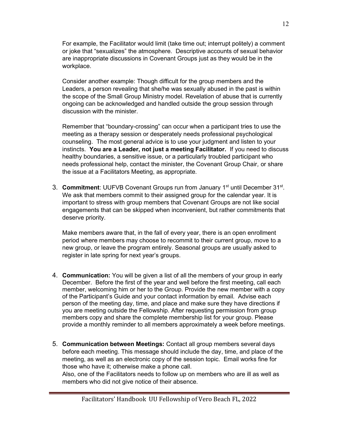For example, the Facilitator would limit (take time out; interrupt politely) a comment or joke that "sexualizes" the atmosphere. Descriptive accounts of sexual behavior are inappropriate discussions in Covenant Groups just as they would be in the workplace.

Consider another example: Though difficult for the group members and the Leaders, a person revealing that she/he was sexually abused in the past is within the scope of the Small Group Ministry model. Revelation of abuse that is currently ongoing can be acknowledged and handled outside the group session through discussion with the minister.

Remember that "boundary-crossing" can occur when a participant tries to use the meeting as a therapy session or desperately needs professional psychological counseling. The most general advice is to use your judgment and listen to your instincts. You are a Leader, not just a meeting Facilitator. If you need to discuss healthy boundaries, a sensitive issue, or a particularly troubled participant who needs professional help, contact the minister, the Covenant Group Chair, or share the issue at a Facilitators Meeting, as appropriate.

3. Commitment: UUFVB Covenant Groups run from January 1<sup>st</sup> until December 31<sup>st</sup>. We ask that members commit to their assigned group for the calendar year. It is important to stress with group members that Covenant Groups are not like social engagements that can be skipped when inconvenient, but rather commitments that deserve priority.

Make members aware that, in the fall of every year, there is an open enrollment period where members may choose to recommit to their current group, move to a new group, or leave the program entirely. Seasonal groups are usually asked to register in late spring for next year's groups.

- 4. Communication: You will be given a list of all the members of your group in early December. Before the first of the year and well before the first meeting, call each member, welcoming him or her to the Group. Provide the new member with a copy of the Participant's Guide and your contact information by email. Advise each person of the meeting day, time, and place and make sure they have directions if you are meeting outside the Fellowship. After requesting permission from group members copy and share the complete membership list for your group. Please provide a monthly reminder to all members approximately a week before meetings.
- 5. Communication between Meetings: Contact all group members several days before each meeting. This message should include the day, time, and place of the meeting, as well as an electronic copy of the session topic. Email works fine for those who have it; otherwise make a phone call.

Also, one of the Facilitators needs to follow up on members who are ill as well as members who did not give notice of their absence.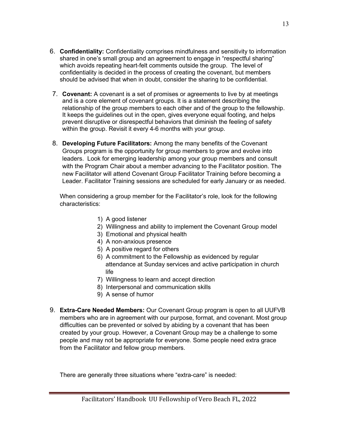- 6. Confidentiality: Confidentiality comprises mindfulness and sensitivity to information shared in one's small group and an agreement to engage in "respectful sharing" which avoids repeating heart-felt comments outside the group. The level of confidentiality is decided in the process of creating the covenant, but members should be advised that when in doubt, consider the sharing to be confidential.
- 7. Covenant: A covenant is a set of promises or agreements to live by at meetings and is a core element of covenant groups. It is a statement describing the relationship of the group members to each other and of the group to the fellowship. It keeps the guidelines out in the open, gives everyone equal footing, and helps prevent disruptive or disrespectful behaviors that diminish the feeling of safety within the group. Revisit it every 4-6 months with your group.
- 8. Developing Future Facilitators: Among the many benefits of the Covenant Groups program is the opportunity for group members to grow and evolve into leaders. Look for emerging leadership among your group members and consult with the Program Chair about a member advancing to the Facilitator position. The new Facilitator will attend Covenant Group Facilitator Training before becoming a Leader. Facilitator Training sessions are scheduled for early January or as needed.

When considering a group member for the Facilitator's role, look for the following characteristics:

- 1) A good listener
- 2) Willingness and ability to implement the Covenant Group model
- 3) Emotional and physical health
- 4) A non-anxious presence
- 5) A positive regard for others
- 6) A commitment to the Fellowship as evidenced by regular attendance at Sunday services and active participation in church life
- 7) Willingness to learn and accept direction
- 8) Interpersonal and communication skills
- 9) A sense of humor
- 9. Extra-Care Needed Members: Our Covenant Group program is open to all UUFVB members who are in agreement with our purpose, format, and covenant. Most group difficulties can be prevented or solved by abiding by a covenant that has been created by your group. However, a Covenant Group may be a challenge to some people and may not be appropriate for everyone. Some people need extra grace from the Facilitator and fellow group members.

There are generally three situations where "extra-care" is needed: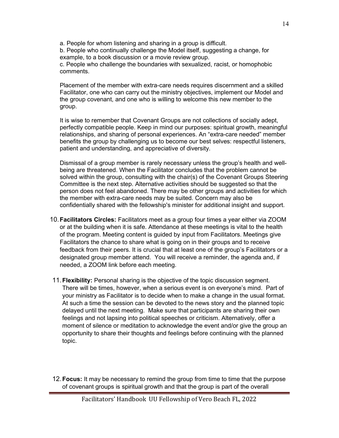a. People for whom listening and sharing in a group is difficult.

b. People who continually challenge the Model itself, suggesting a change, for example, to a book discussion or a movie review group.

c. People who challenge the boundaries with sexualized, racist, or homophobic comments.

Placement of the member with extra-care needs requires discernment and a skilled Facilitator, one who can carry out the ministry objectives, implement our Model and the group covenant, and one who is willing to welcome this new member to the group.

It is wise to remember that Covenant Groups are not collections of socially adept, perfectly compatible people. Keep in mind our purposes: spiritual growth, meaningful relationships, and sharing of personal experiences. An "extra-care needed" member benefits the group by challenging us to become our best selves: respectful listeners, patient and understanding, and appreciative of diversity.

Dismissal of a group member is rarely necessary unless the group's health and wellbeing are threatened. When the Facilitator concludes that the problem cannot be solved within the group, consulting with the chair(s) of the Covenant Groups Steering Committee is the next step. Alternative activities should be suggested so that the person does not feel abandoned. There may be other groups and activities for which the member with extra-care needs may be suited. Concern may also be confidentially shared with the fellowship's minister for additional insight and support.

- 10. Facilitators Circles: Facilitators meet as a group four times a year either via ZOOM or at the building when it is safe. Attendance at these meetings is vital to the health of the program. Meeting content is guided by input from Facilitators. Meetings give Facilitators the chance to share what is going on in their groups and to receive feedback from their peers. It is crucial that at least one of the group's Facilitators or a designated group member attend. You will receive a reminder, the agenda and, if needed, a ZOOM link before each meeting.
- 11. Flexibility: Personal sharing is the objective of the topic discussion segment. There will be times, however, when a serious event is on everyone's mind. Part of your ministry as Facilitator is to decide when to make a change in the usual format. At such a time the session can be devoted to the news story and the planned topic delayed until the next meeting. Make sure that participants are sharing their own feelings and not lapsing into political speeches or criticism. Alternatively, offer a moment of silence or meditation to acknowledge the event and/or give the group an opportunity to share their thoughts and feelings before continuing with the planned topic.

12. Focus: It may be necessary to remind the group from time to time that the purpose of covenant groups is spiritual growth and that the group is part of the overall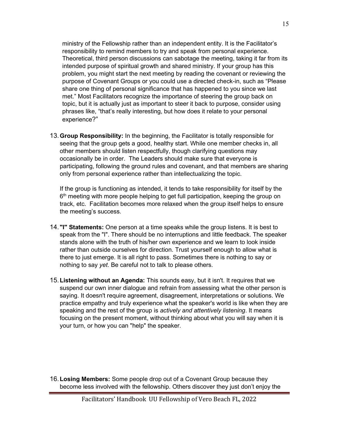ministry of the Fellowship rather than an independent entity. It is the Facilitator's responsibility to remind members to try and speak from personal experience. Theoretical, third person discussions can sabotage the meeting, taking it far from its intended purpose of spiritual growth and shared ministry. If your group has this problem, you might start the next meeting by reading the covenant or reviewing the purpose of Covenant Groups or you could use a directed check-in, such as "Please share one thing of personal significance that has happened to you since we last met." Most Facilitators recognize the importance of steering the group back on topic, but it is actually just as important to steer it back to purpose, consider using phrases like, "that's really interesting, but how does it relate to your personal experience?"

13. Group Responsibility: In the beginning, the Facilitator is totally responsible for seeing that the group gets a good, healthy start. While one member checks in, all other members should listen respectfully, though clarifying questions may occasionally be in order. The Leaders should make sure that everyone is participating, following the ground rules and covenant, and that members are sharing only from personal experience rather than intellectualizing the topic.

If the group is functioning as intended, it tends to take responsibility for itself by the 6<sup>th</sup> meeting with more people helping to get full participation, keeping the group on track, etc. Facilitation becomes more relaxed when the group itself helps to ensure the meeting's success.

- 14. "I" Statements: One person at a time speaks while the group listens. It is best to speak from the "I". There should be no interruptions and little feedback. The speaker stands alone with the truth of his/her own experience and we learn to look inside rather than outside ourselves for direction. Trust yourself enough to allow what is there to just emerge. It is all right to pass. Sometimes there is nothing to say or nothing to say yet. Be careful not to talk to please others.
- 15. Listening without an Agenda: This sounds easy, but it isn't. It requires that we suspend our own inner dialogue and refrain from assessing what the other person is saying. It doesn't require agreement, disagreement, interpretations or solutions. We practice empathy and truly experience what the speaker's world is like when they are speaking and the rest of the group is actively and attentively listening. It means focusing on the present moment, without thinking about what you will say when it is your turn, or how you can "help" the speaker.

16. Losing Members: Some people drop out of a Covenant Group because they become less involved with the fellowship. Others discover they just don't enjoy the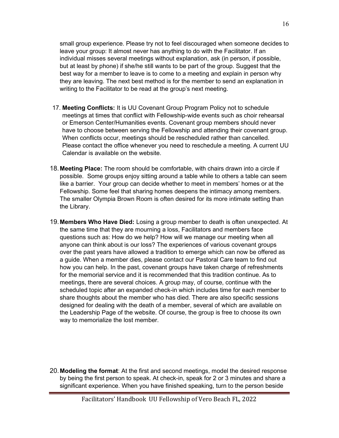small group experience. Please try not to feel discouraged when someone decides to leave your group: It almost never has anything to do with the Facilitator. If an individual misses several meetings without explanation, ask (in person, if possible, but at least by phone) if she/he still wants to be part of the group. Suggest that the best way for a member to leave is to come to a meeting and explain in person why they are leaving. The next best method is for the member to send an explanation in writing to the Facilitator to be read at the group's next meeting.

- 17. Meeting Conflicts: It is UU Covenant Group Program Policy not to schedule meetings at times that conflict with Fellowship-wide events such as choir rehearsal or Emerson Center/Humanities events. Covenant group members should never have to choose between serving the Fellowship and attending their covenant group. When conflicts occur, meetings should be rescheduled rather than cancelled. Please contact the office whenever you need to reschedule a meeting. A current UU Calendar is available on the website.
- 18. Meeting Place: The room should be comfortable, with chairs drawn into a circle if possible. Some groups enjoy sitting around a table while to others a table can seem like a barrier. Your group can decide whether to meet in members' homes or at the Fellowship. Some feel that sharing homes deepens the intimacy among members. The smaller Olympia Brown Room is often desired for its more intimate setting than the Library.
- 19. Members Who Have Died: Losing a group member to death is often unexpected. At the same time that they are mourning a loss, Facilitators and members face questions such as: How do we help? How will we manage our meeting when all anyone can think about is our loss? The experiences of various covenant groups over the past years have allowed a tradition to emerge which can now be offered as a guide. When a member dies, please contact our Pastoral Care team to find out how you can help. In the past, covenant groups have taken charge of refreshments for the memorial service and it is recommended that this tradition continue. As to meetings, there are several choices. A group may, of course, continue with the scheduled topic after an expanded check-in which includes time for each member to share thoughts about the member who has died. There are also specific sessions designed for dealing with the death of a member, several of which are available on the Leadership Page of the website. Of course, the group is free to choose its own way to memorialize the lost member.
- 20. Modeling the format: At the first and second meetings, model the desired response by being the first person to speak. At check-in, speak for 2 or 3 minutes and share a significant experience. When you have finished speaking, turn to the person beside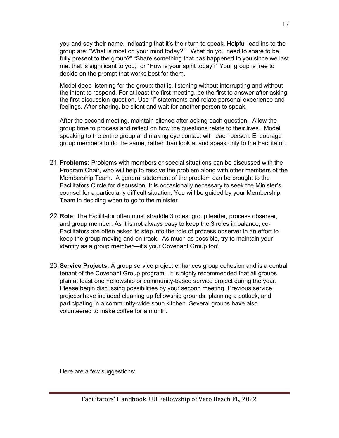you and say their name, indicating that it's their turn to speak. Helpful lead-ins to the group are: "What is most on your mind today?" "What do you need to share to be fully present to the group?" "Share something that has happened to you since we last met that is significant to you," or "How is your spirit today?" Your group is free to decide on the prompt that works best for them.

Model deep listening for the group; that is, listening without interrupting and without the intent to respond. For at least the first meeting, be the first to answer after asking the first discussion question. Use "I" statements and relate personal experience and feelings. After sharing, be silent and wait for another person to speak.

After the second meeting, maintain silence after asking each question. Allow the group time to process and reflect on how the questions relate to their lives. Model speaking to the entire group and making eye contact with each person. Encourage group members to do the same, rather than look at and speak only to the Facilitator.

- 21. Problems: Problems with members or special situations can be discussed with the Program Chair, who will help to resolve the problem along with other members of the Membership Team. A general statement of the problem can be brought to the Facilitators Circle for discussion. It is occasionally necessary to seek the Minister's counsel for a particularly difficult situation. You will be guided by your Membership Team in deciding when to go to the minister.
- 22. Role: The Facilitator often must straddle 3 roles: group leader, process observer, and group member. As it is not always easy to keep the 3 roles in balance, co-Facilitators are often asked to step into the role of process observer in an effort to keep the group moving and on track. As much as possible, try to maintain your identity as a group member—it's your Covenant Group too!
- 23. Service Projects: A group service project enhances group cohesion and is a central tenant of the Covenant Group program. It is highly recommended that all groups plan at least one Fellowship or community-based service project during the year. Please begin discussing possibilities by your second meeting. Previous service projects have included cleaning up fellowship grounds, planning a potluck, and participating in a community-wide soup kitchen. Several groups have also volunteered to make coffee for a month.

Here are a few suggestions: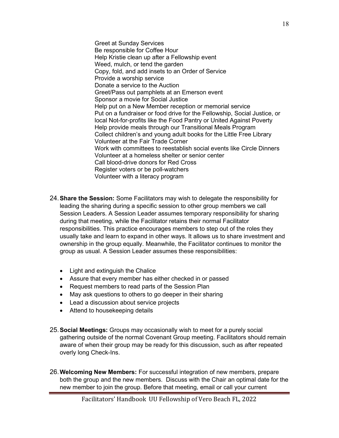Greet at Sunday Services Be responsible for Coffee Hour Help Kristie clean up after a Fellowship event Weed, mulch, or tend the garden Copy, fold, and add insets to an Order of Service Provide a worship service Donate a service to the Auction Greet/Pass out pamphlets at an Emerson event Sponsor a movie for Social Justice Help put on a New Member reception or memorial service Put on a fundraiser or food drive for the Fellowship, Social Justice, or local Not-for-profits like the Food Pantry or United Against Poverty Help provide meals through our Transitional Meals Program Collect children's and young adult books for the Little Free Library Volunteer at the Fair Trade Corner Work with committees to reestablish social events like Circle Dinners Volunteer at a homeless shelter or senior center Call blood-drive donors for Red Cross Register voters or be poll-watchers Volunteer with a literacy program

- 24. **Share the Session:** Some Facilitators may wish to delegate the responsibility for leading the sharing during a specific session to other group members we call Session Leaders. A Session Leader assumes temporary responsibility for sharing during that meeting, while the Facilitator retains their normal Facilitator responsibilities. This practice encourages members to step out of the roles they usually take and learn to expand in other ways. It allows us to share investment and ownership in the group equally. Meanwhile, the Facilitator continues to monitor the group as usual. A Session Leader assumes these responsibilities:
	- Light and extinguish the Chalice
	- Assure that every member has either checked in or passed
	- Request members to read parts of the Session Plan
	- May ask questions to others to go deeper in their sharing
	- Lead a discussion about service projects
	- Attend to housekeeping details
- 25. **Social Meetings:** Groups may occasionally wish to meet for a purely social gathering outside of the normal Covenant Group meeting. Facilitators should remain aware of when their group may be ready for this discussion, such as after repeated overly long Check-Ins.
- 26. Welcoming New Members: For successful integration of new members, prepare both the group and the new members. Discuss with the Chair an optimal date for the new member to join the group. Before that meeting, email or call your current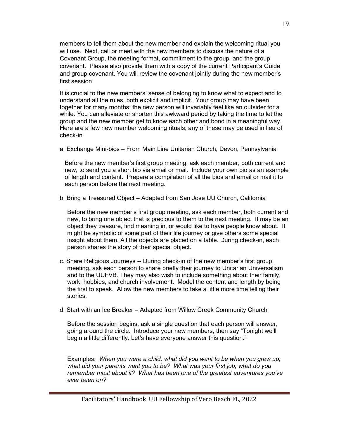members to tell them about the new member and explain the welcoming ritual you will use. Next, call or meet with the new members to discuss the nature of a Covenant Group, the meeting format, commitment to the group, and the group covenant. Please also provide them with a copy of the current Participant's Guide and group covenant. You will review the covenant jointly during the new member's first session.

It is crucial to the new members' sense of belonging to know what to expect and to understand all the rules, both explicit and implicit. Your group may have been together for many months; the new person will invariably feel like an outsider for a while. You can alleviate or shorten this awkward period by taking the time to let the group and the new member get to know each other and bond in a meaningful way. Here are a few new member welcoming rituals; any of these may be used in lieu of check-in

a. Exchange Mini-bios – From Main Line Unitarian Church, Devon, Pennsylvania

Before the new member's first group meeting, ask each member, both current and new, to send you a short bio via email or mail. Include your own bio as an example of length and content. Prepare a compilation of all the bios and email or mail it to each person before the next meeting.

b. Bring a Treasured Object – Adapted from San Jose UU Church, California

Before the new member's first group meeting, ask each member, both current and new, to bring one object that is precious to them to the next meeting. It may be an object they treasure, find meaning in, or would like to have people know about. It might be symbolic of some part of their life journey or give others some special insight about them. All the objects are placed on a table. During check-in, each person shares the story of their special object.

- c. Share Religious Journeys -- During check-in of the new member's first group meeting, ask each person to share briefly their journey to Unitarian Universalism and to the UUFVB. They may also wish to include something about their family, work, hobbies, and church involvement. Model the content and length by being the first to speak. Allow the new members to take a little more time telling their stories.
- d. Start with an Ice Breaker Adapted from Willow Creek Community Church

Before the session begins, ask a single question that each person will answer, going around the circle. Introduce your new members, then say "Tonight we'll begin a little differently. Let's have everyone answer this question."

Examples: When you were a child, what did you want to be when you grew up; what did your parents want you to be? What was your first job; what do you remember most about it? What has been one of the greatest adventures you've ever been on?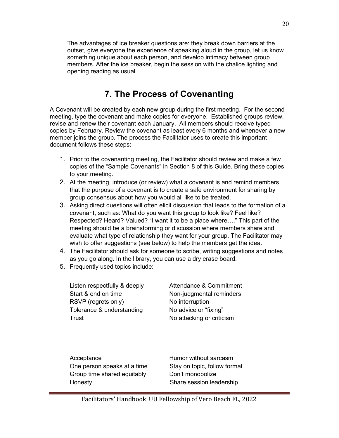The advantages of ice breaker questions are: they break down barriers at the outset, give everyone the experience of speaking aloud in the group, let us know something unique about each person, and develop intimacy between group members. After the ice breaker, begin the session with the chalice lighting and opening reading as usual.

## 7. The Process of Covenanting

A Covenant will be created by each new group during the first meeting. For the second meeting, type the covenant and make copies for everyone. Established groups review, revise and renew their covenant each January. All members should receive typed copies by February. Review the covenant as least every 6 months and whenever a new member joins the group. The process the Facilitator uses to create this important document follows these steps:

- 1. Prior to the covenanting meeting, the Facilitator should review and make a few copies of the "Sample Covenants" in Section 8 of this Guide. Bring these copies to your meeting.
- 2. At the meeting, introduce (or review) what a covenant is and remind members that the purpose of a covenant is to create a safe environment for sharing by group consensus about how you would all like to be treated.
- 3. Asking direct questions will often elicit discussion that leads to the formation of a covenant, such as: What do you want this group to look like? Feel like? Respected? Heard? Valued? "I want it to be a place where…." This part of the meeting should be a brainstorming or discussion where members share and evaluate what type of relationship they want for your group. The Facilitator may wish to offer suggestions (see below) to help the members get the idea.
- 4. The Facilitator should ask for someone to scribe, writing suggestions and notes as you go along. In the library, you can use a dry erase board.
- 5. Frequently used topics include:

Listen respectfully & deeply **Attendance & Commitment** Start & end on time Non-judgmental reminders RSVP (regrets only) No interruption Tolerance & understanding No advice or "fixing" Trust Trust No attacking or criticism

Acceptance **Humor** without sarcasm One person speaks at a time Stay on topic, follow format Group time shared equitably **Don't monopolize** Honesty Share session leadership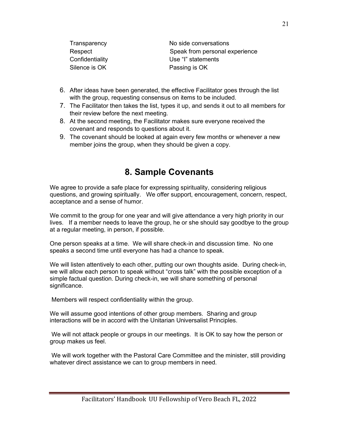| Transparency    | No side conversations          |
|-----------------|--------------------------------|
| Respect         | Speak from personal experience |
| Confidentiality | Use "I" statements             |
| Silence is OK   | Passing is OK                  |

- 6. After ideas have been generated, the effective Facilitator goes through the list with the group, requesting consensus on items to be included.
- 7. The Facilitator then takes the list, types it up, and sends it out to all members for their review before the next meeting.
- 8. At the second meeting, the Facilitator makes sure everyone received the covenant and responds to questions about it.
- 9. The covenant should be looked at again every few months or whenever a new member joins the group, when they should be given a copy.

### 8. Sample Covenants

We agree to provide a safe place for expressing spirituality, considering religious questions, and growing spiritually. We offer support, encouragement, concern, respect, acceptance and a sense of humor.

We commit to the group for one year and will give attendance a very high priority in our lives. If a member needs to leave the group, he or she should say goodbye to the group at a regular meeting, in person, if possible.

One person speaks at a time. We will share check-in and discussion time. No one speaks a second time until everyone has had a chance to speak.

We will listen attentively to each other, putting our own thoughts aside. During check-in, we will allow each person to speak without "cross talk" with the possible exception of a simple factual question. During check-in, we will share something of personal significance.

Members will respect confidentiality within the group.

We will assume good intentions of other group members. Sharing and group interactions will be in accord with the Unitarian Universalist Principles.

 We will not attack people or groups in our meetings. It is OK to say how the person or group makes us feel.

 We will work together with the Pastoral Care Committee and the minister, still providing whatever direct assistance we can to group members in need.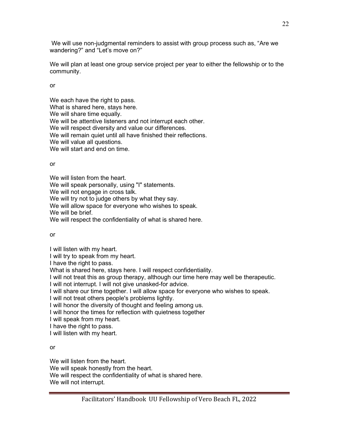We will use non-judgmental reminders to assist with group process such as, "Are we wandering?" and "Let's move on?"

We will plan at least one group service project per year to either the fellowship or to the community.

or

We each have the right to pass. What is shared here, stays here. We will share time equally. We will be attentive listeners and not interrupt each other. We will respect diversity and value our differences. We will remain quiet until all have finished their reflections. We will value all questions. We will start and end on time.

or

We will listen from the heart.

We will speak personally, using "I" statements.

We will not engage in cross talk.

We will try not to judge others by what they say.

We will allow space for everyone who wishes to speak.

We will be brief.

We will respect the confidentiality of what is shared here.

or

I will listen with my heart.

I will try to speak from my heart.

I have the right to pass.

What is shared here, stays here. I will respect confidentiality.

I will not treat this as group therapy, although our time here may well be therapeutic.

I will not interrupt. I will not give unasked-for advice.

I will share our time together. I will allow space for everyone who wishes to speak.

I will not treat others people's problems lightly.

I will honor the diversity of thought and feeling among us.

I will honor the times for reflection with quietness together

I will speak from my heart.

I have the right to pass.

I will listen with my heart.

or

We will listen from the heart. We will speak honestly from the heart. We will respect the confidentiality of what is shared here. We will not interrupt.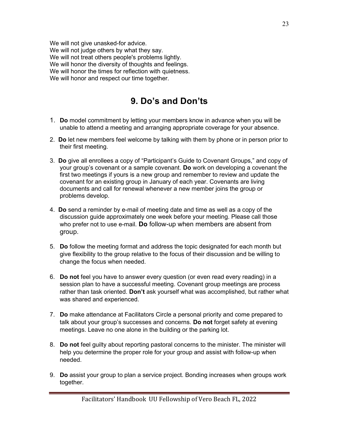We will not give unasked-for advice. We will not judge others by what they say. We will not treat others people's problems lightly. We will honor the diversity of thoughts and feelings. We will honor the times for reflection with quietness. We will honor and respect our time together.

# 9. Do's and Don'ts

- 1. Do model commitment by letting your members know in advance when you will be unable to attend a meeting and arranging appropriate coverage for your absence.
- 2. Do let new members feel welcome by talking with them by phone or in person prior to their first meeting.
- 3. Do give all enrollees a copy of "Participant's Guide to Covenant Groups," and copy of your group's covenant or a sample covenant. Do work on developing a covenant the first two meetings if yours is a new group and remember to review and update the covenant for an existing group in January of each year. Covenants are living documents and call for renewal whenever a new member joins the group or problems develop.
- 4. Do send a reminder by e-mail of meeting date and time as well as a copy of the discussion guide approximately one week before your meeting. Please call those who prefer not to use e-mail. Do follow-up when members are absent from group.
- 5. Do follow the meeting format and address the topic designated for each month but give flexibility to the group relative to the focus of their discussion and be willing to change the focus when needed.
- 6. Do not feel you have to answer every question (or even read every reading) in a session plan to have a successful meeting. Covenant group meetings are process rather than task oriented. Don't ask yourself what was accomplished, but rather what was shared and experienced.
- 7. Do make attendance at Facilitators Circle a personal priority and come prepared to talk about your group's successes and concerns. Do not forget safety at evening meetings. Leave no one alone in the building or the parking lot.
- 8. Do not feel guilty about reporting pastoral concerns to the minister. The minister will help you determine the proper role for your group and assist with follow-up when needed.
- 9. Do assist your group to plan a service project. Bonding increases when groups work together.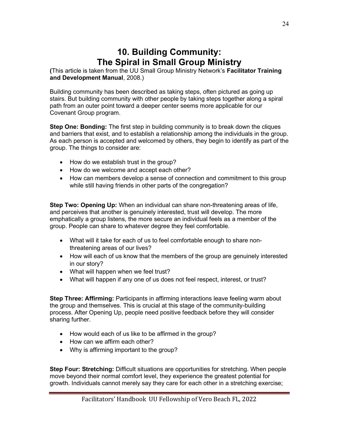### 10. Building Community: The Spiral in Small Group Ministry

(This article is taken from the UU Small Group Ministry Network's Facilitator Training and Development Manual, 2008.)

Building community has been described as taking steps, often pictured as going up stairs. But building community with other people by taking steps together along a spiral path from an outer point toward a deeper center seems more applicable for our Covenant Group program.

**Step One: Bonding:** The first step in building community is to break down the cliques and barriers that exist, and to establish a relationship among the individuals in the group. As each person is accepted and welcomed by others, they begin to identify as part of the group. The things to consider are:

- How do we establish trust in the group?
- How do we welcome and accept each other?
- How can members develop a sense of connection and commitment to this group while still having friends in other parts of the congregation?

Step Two: Opening Up: When an individual can share non-threatening areas of life, and perceives that another is genuinely interested, trust will develop. The more emphatically a group listens, the more secure an individual feels as a member of the group. People can share to whatever degree they feel comfortable.

- What will it take for each of us to feel comfortable enough to share nonthreatening areas of our lives?
- How will each of us know that the members of the group are genuinely interested in our story?
- What will happen when we feel trust?
- What will happen if any one of us does not feel respect, interest, or trust?

Step Three: Affirming: Participants in affirming interactions leave feeling warm about the group and themselves. This is crucial at this stage of the community-building process. After Opening Up, people need positive feedback before they will consider sharing further.

- How would each of us like to be affirmed in the group?
- How can we affirm each other?
- Why is affirming important to the group?

Step Four: Stretching: Difficult situations are opportunities for stretching. When people move beyond their normal comfort level, they experience the greatest potential for growth. Individuals cannot merely say they care for each other in a stretching exercise;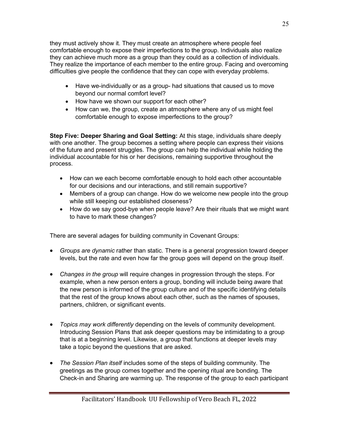they must actively show it. They must create an atmosphere where people feel comfortable enough to expose their imperfections to the group. Individuals also realize they can achieve much more as a group than they could as a collection of individuals. They realize the importance of each member to the entire group. Facing and overcoming difficulties give people the confidence that they can cope with everyday problems.

- Have we-individually or as a group- had situations that caused us to move beyond our normal comfort level?
- How have we shown our support for each other?
- How can we, the group, create an atmosphere where any of us might feel comfortable enough to expose imperfections to the group?

Step Five: Deeper Sharing and Goal Setting: At this stage, individuals share deeply with one another. The group becomes a setting where people can express their visions of the future and present struggles. The group can help the individual while holding the individual accountable for his or her decisions, remaining supportive throughout the process.

- How can we each become comfortable enough to hold each other accountable for our decisions and our interactions, and still remain supportive?
- Members of a group can change. How do we welcome new people into the group while still keeping our established closeness?
- How do we say good-bye when people leave? Are their rituals that we might want to have to mark these changes?

There are several adages for building community in Covenant Groups:

- Groups are dynamic rather than static. There is a general progression toward deeper levels, but the rate and even how far the group goes will depend on the group itself.
- Changes in the group will require changes in progression through the steps. For example, when a new person enters a group, bonding will include being aware that the new person is informed of the group culture and of the specific identifying details that the rest of the group knows about each other, such as the names of spouses, partners, children, or significant events.
- Topics may work differently depending on the levels of community development. Introducing Session Plans that ask deeper questions may be intimidating to a group that is at a beginning level. Likewise, a group that functions at deeper levels may take a topic beyond the questions that are asked.
- The Session Plan itself includes some of the steps of building community. The greetings as the group comes together and the opening ritual are bonding. The Check-in and Sharing are warming up. The response of the group to each participant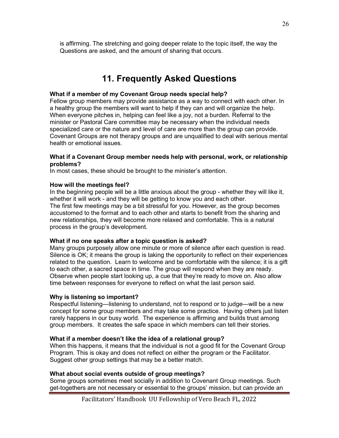is affirming. The stretching and going deeper relate to the topic itself, the way the Questions are asked, and the amount of sharing that occurs.

## 11. Frequently Asked Questions

### What if a member of my Covenant Group needs special help?

Fellow group members may provide assistance as a way to connect with each other. In a healthy group the members will want to help if they can and will organize the help. When everyone pitches in, helping can feel like a joy, not a burden. Referral to the minister or Pastoral Care committee may be necessary when the individual needs specialized care or the nature and level of care are more than the group can provide. Covenant Groups are not therapy groups and are unqualified to deal with serious mental health or emotional issues.

#### What if a Covenant Group member needs help with personal, work, or relationship problems?

In most cases, these should be brought to the minister's attention.

#### How will the meetings feel?

In the beginning people will be a little anxious about the group - whether they will like it, whether it will work - and they will be getting to know you and each other. The first few meetings may be a bit stressful for you. However, as the group becomes accustomed to the format and to each other and starts to benefit from the sharing and new relationships, they will become more relaxed and comfortable. This is a natural process in the group's development.

### What if no one speaks after a topic question is asked?

Many groups purposely allow one minute or more of silence after each question is read. Silence is OK; it means the group is taking the opportunity to reflect on their experiences related to the question. Learn to welcome and be comfortable with the silence; it is a gift to each other, a sacred space in time. The group will respond when they are ready. Observe when people start looking up, a cue that they're ready to move on. Also allow time between responses for everyone to reflect on what the last person said.

### Why is listening so important?

Respectful listening—listening to understand, not to respond or to judge—will be a new concept for some group members and may take some practice. Having others just listen rarely happens in our busy world. The experience is affirming and builds trust among group members. It creates the safe space in which members can tell their stories.

### What if a member doesn't like the idea of a relational group?

When this happens, it means that the individual is not a good fit for the Covenant Group Program. This is okay and does not reflect on either the program or the Facilitator. Suggest other group settings that may be a better match.

#### What about social events outside of group meetings?

Some groups sometimes meet socially in addition to Covenant Group meetings. Such get-togethers are not necessary or essential to the groups' mission, but can provide an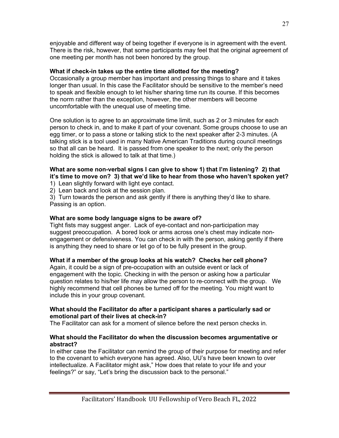enjoyable and different way of being together if everyone is in agreement with the event. There is the risk, however, that some participants may feel that the original agreement of one meeting per month has not been honored by the group.

### What if check-in takes up the entire time allotted for the meeting?

Occasionally a group member has important and pressing things to share and it takes longer than usual. In this case the Facilitator should be sensitive to the member's need to speak and flexible enough to let his/her sharing time run its course. If this becomes the norm rather than the exception, however, the other members will become uncomfortable with the unequal use of meeting time.

One solution is to agree to an approximate time limit, such as 2 or 3 minutes for each person to check in, and to make it part of your covenant. Some groups choose to use an egg timer, or to pass a stone or talking stick to the next speaker after 2-3 minutes. (A talking stick is a tool used in many Native American Traditions during council meetings so that all can be heard. It is passed from one speaker to the next; only the person holding the stick is allowed to talk at that time.)

### What are some non-verbal signs I can give to show 1) that I'm listening? 2) that it's time to move on? 3) that we'd like to hear from those who haven't spoken yet?

1) Lean slightly forward with light eye contact.

2) Lean back and look at the session plan.

3) Turn towards the person and ask gently if there is anything they'd like to share. Passing is an option.

### What are some body language signs to be aware of?

Tight fists may suggest anger. Lack of eye-contact and non-participation may suggest preoccupation. A bored look or arms across one's chest may indicate nonengagement or defensiveness. You can check in with the person, asking gently if there is anything they need to share or let go of to be fully present in the group.

### What if a member of the group looks at his watch? Checks her cell phone?

Again, it could be a sign of pre-occupation with an outside event or lack of engagement with the topic. Checking in with the person or asking how a particular question relates to his/her life may allow the person to re-connect with the group. We highly recommend that cell phones be turned off for the meeting. You might want to include this in your group covenant.

### What should the Facilitator do after a participant shares a particularly sad or emotional part of their lives at check-in?

The Facilitator can ask for a moment of silence before the next person checks in.

### What should the Facilitator do when the discussion becomes argumentative or abstract?

In either case the Facilitator can remind the group of their purpose for meeting and refer to the covenant to which everyone has agreed. Also, UU's have been known to over intellectualize. A Facilitator might ask," How does that relate to your life and your feelings?" or say, "Let's bring the discussion back to the personal."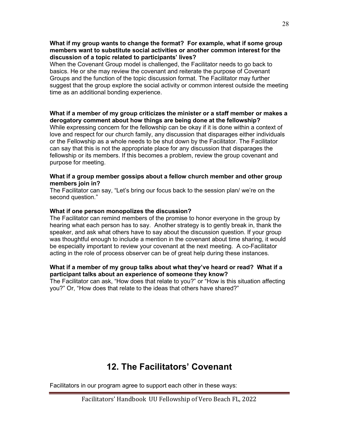#### What if my group wants to change the format? For example, what if some group members want to substitute social activities or another common interest for the discussion of a topic related to participants' lives?

When the Covenant Group model is challenged, the Facilitator needs to go back to basics. He or she may review the covenant and reiterate the purpose of Covenant Groups and the function of the topic discussion format. The Facilitator may further suggest that the group explore the social activity or common interest outside the meeting time as an additional bonding experience.

### What if a member of my group criticizes the minister or a staff member or makes a derogatory comment about how things are being done at the fellowship?

While expressing concern for the fellowship can be okay if it is done within a context of love and respect for our church family, any discussion that disparages either individuals or the Fellowship as a whole needs to be shut down by the Facilitator. The Facilitator can say that this is not the appropriate place for any discussion that disparages the fellowship or its members. If this becomes a problem, review the group covenant and purpose for meeting.

#### What if a group member gossips about a fellow church member and other group members join in?

The Facilitator can say, "Let's bring our focus back to the session plan/ we're on the second question."

#### What if one person monopolizes the discussion?

The Facilitator can remind members of the promise to honor everyone in the group by hearing what each person has to say. Another strategy is to gently break in, thank the speaker, and ask what others have to say about the discussion question. If your group was thoughtful enough to include a mention in the covenant about time sharing, it would be especially important to review your covenant at the next meeting. A co-Facilitator acting in the role of process observer can be of great help during these instances.

#### What if a member of my group talks about what they've heard or read? What if a participant talks about an experience of someone they know?

The Facilitator can ask, "How does that relate to you?" or "How is this situation affecting you?" Or, "How does that relate to the ideas that others have shared?"

### 12. The Facilitators' Covenant

Facilitators in our program agree to support each other in these ways: